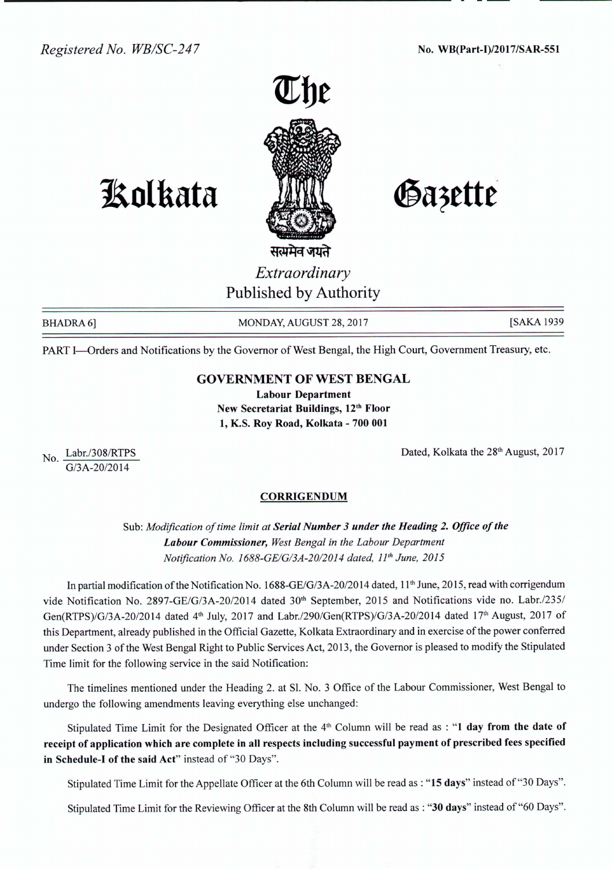

## **1!olkata**

Gazette

सत्यमेव जयते *Extraordinary* Published by Authority

 $No. \frac{Labr}{200}$  no  $200/RTPS$ G/3A-20/2014

BHADRA 6] MONDAY, AUGUST 28, 2017 [SAKA 1939

PART I-Orders and Notifications by the Governor of West Bengal, the High Court, Government Treasury, etc.

## GOVERNMENT OF WEST BENGAL

Labour Department New Secretariat Buildings, 12<sup>th</sup> Floor 1, K.S. Roy Road, Kolkata - 700 001

Dated, Kolkata the 28<sup>th</sup> August, 2017

## **CORRIGENDUM**

Sub: *Modification of time limit at Serial Number* 3 *under the Heading* 2. *Office of the Labour Commissioner, West Bengal in the Labour Department Notification No. 1688-GE/G/3A-20/2014 dated, 11<sup>th</sup> June, 2015* 

In partial modification of the Notification No. 1688-GE/G/3A-20/2014 dated, 11<sup>th</sup> June, 2015, read with corrigendum vide Notification No. 2897-GE/G/3A-20/2014 dated 30<sup>th</sup> September, 2015 and Notifications vide no. Labr./235/ Gen(RTPS)/G/3A-20/2014 dated 4<sup>th</sup> July, 2017 and Labr./290/Gen(RTPS)/G/3A-20/2014 dated 17<sup>th</sup> August, 2017 of this Department, already published in the Official Gazette, Kolkata Extraordinary and in exercise of the power conferred under Section 3 of the West Bengal Right to Public Services Act, 2013, the Governor is pleased to modify the Stipulated Time limit for the following service in the said Notification:

The time lines mentioned under the Heading 2. at SI. No. 3 Office of the Labour Commissioner, West Bengal to undergo the following amendments leaving everything else unchanged:

Stipulated Time Limit for the Designated Officer at the  $4<sup>th</sup>$  Column will be read as : "1 day from the date of receipt of application which are complete in all respects including successful payment of prescribed fees specified in Schedule-I of the said Act" instead of "30 Days".

Stipulated Time Limit for the Appellate Officer at the 6th Column will be read as : "15 days" instead of"30 Days".

Stipulated Time Limit for the Reviewing Officer at the 8th Column will be read as : "30 days" instead of"60 Days".